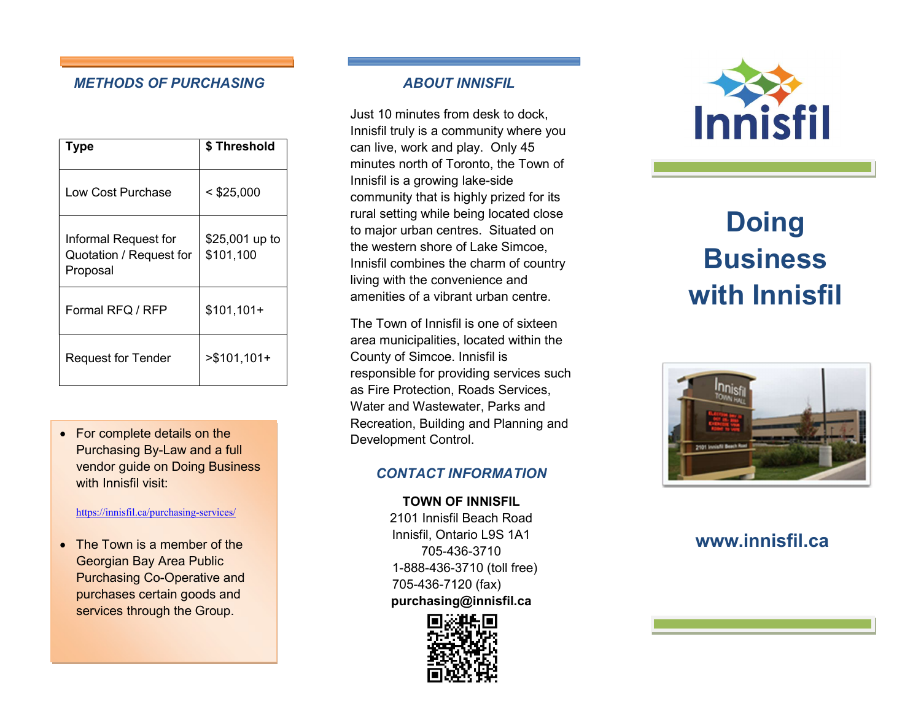#### METHODS OF PURCHASING ABOUT INNISFIL

| Type                                                        | \$ Threshold                |
|-------------------------------------------------------------|-----------------------------|
| Low Cost Purchase                                           | $<$ \$25,000                |
| Informal Request for<br>Quotation / Request for<br>Proposal | \$25,001 up to<br>\$101,100 |
| Formal RFQ / RFP                                            | $$101,101+$                 |
| <b>Request for Tender</b>                                   | $> $101,101+$               |

• For complete details on the Purchasing By-Law and a full vendor guide on Doing Business with Innisfil visit:

#### https://innisfil.ca/purchasing-services/

• The Town is a member of the Georgian Bay Area Public Purchasing Co-Operative and purchases certain goods and services through the Group.

I

Just 10 minutes from desk to dock, Innisfil truly is a community where you can live, work and play. Only 45 minutes north of Toronto, the Town of Innisfil is a growing lake-side community that is highly prized for its rural setting while being located close to major urban centres. Situated on the western shore of Lake Simcoe, Innisfil combines the charm of country living with the convenience and amenities of a vibrant urban centre.

The Town of Innisfil is one of sixteen area municipalities, located within the County of Simcoe. Innisfil is responsible for providing services such as Fire Protection, Roads Services, Water and Wastewater, Parks and Recreation, Building and Planning and Development Control.

#### CONTACT INFORMATION

TOWN OF INNISFIL 2101 Innisfil Beach Road Innisfil, Ontario L9S 1A1 705-436-3710 1-888-436-3710 (toll free) 705-436-7120 (fax) purchasing@innisfil.ca





# **Doing Business** with Innisfil



# www.innisfil.ca